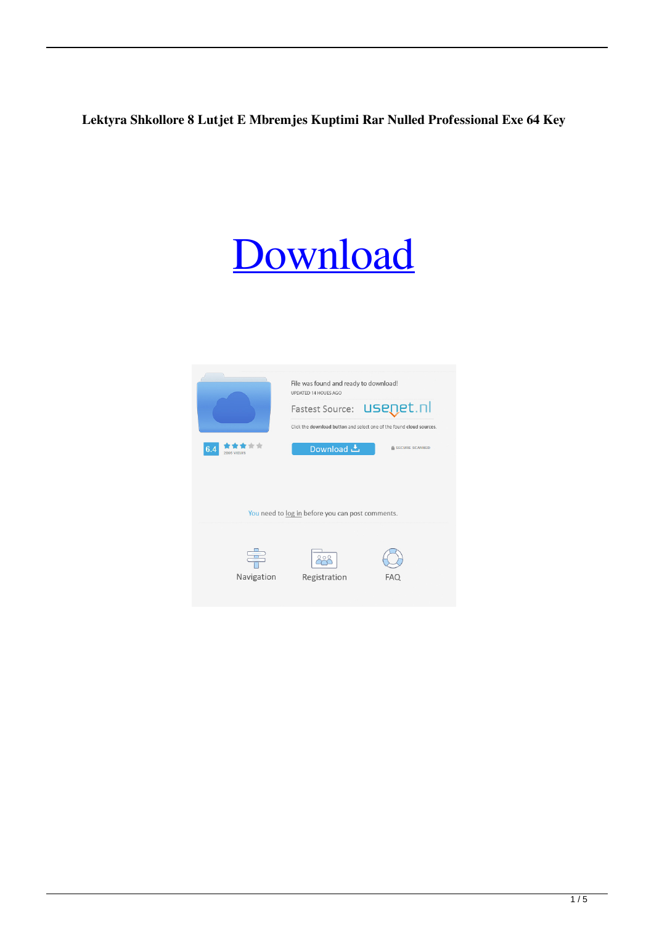## **Lektyra Shkollore 8 Lutjet E Mbremjes Kuptimi Rar Nulled Professional Exe 64 Key**

## [Download](http://evacdir.com/caucasians/grennier.chesterfield?ZG93bmxvYWR8NXZ3YmpGd2ZId3hOalV5TnpRd09EWTJmSHd5TlRjMGZId29UU2tnY21WaFpDMWliRzluSUZ0R1lYTjBJRWRGVGww=marvin&rancho=verbiage/bGVrdHlyYSBzaGtvbGxvcmUgOCBsdXRqZXQgZSBtYnJlbWplcyBrdXB0aW1pLnJhcgbGV/stojakovic)

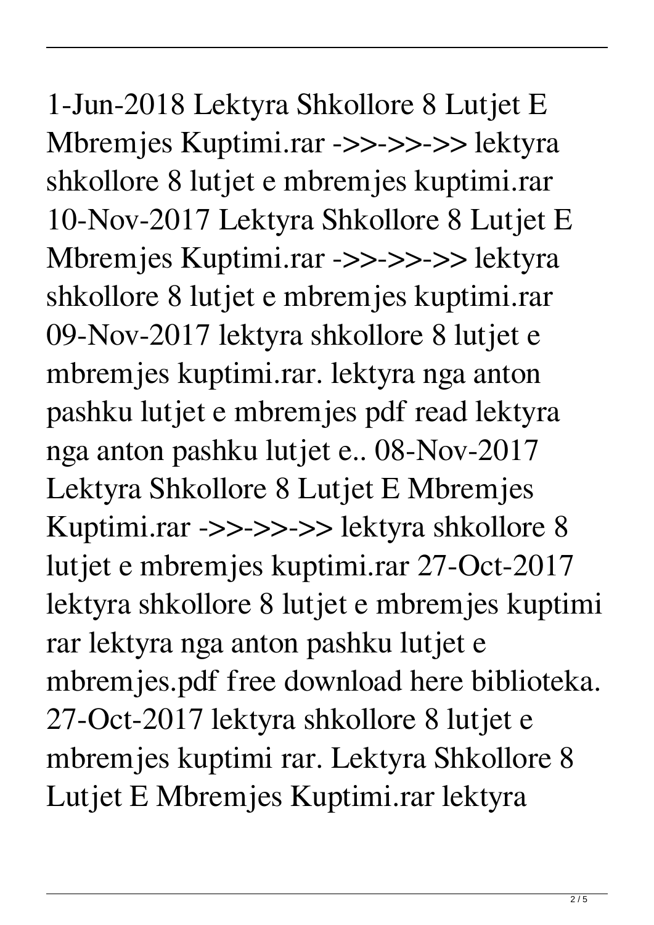1-Jun-2018 Lektyra Shkollore 8 Lutjet E Mbremjes Kuptimi.rar ->>->>->> lektyra shkollore 8 lutjet e mbremjes kuptimi.rar 10-Nov-2017 Lektyra Shkollore 8 Lutjet E Mbremjes Kuptimi.rar ->>->>->> lektyra shkollore 8 lutjet e mbremjes kuptimi.rar 09-Nov-2017 lektyra shkollore 8 lutjet e mbremjes kuptimi.rar. lektyra nga anton pashku lutjet e mbremjes pdf read lektyra nga anton pashku lutjet e.. 08-Nov-2017 Lektyra Shkollore 8 Lutjet E Mbremjes Kuptimi.rar ->>->>->> lektyra shkollore 8 lutjet e mbremjes kuptimi.rar 27-Oct-2017 lektyra shkollore 8 lutjet e mbremjes kuptimi rar lektyra nga anton pashku lutjet e mbremjes.pdf free download here biblioteka. 27-Oct-2017 lektyra shkollore 8 lutjet e mbremjes kuptimi rar. Lektyra Shkollore 8 Lutjet E Mbremjes Kuptimi.rar lektyra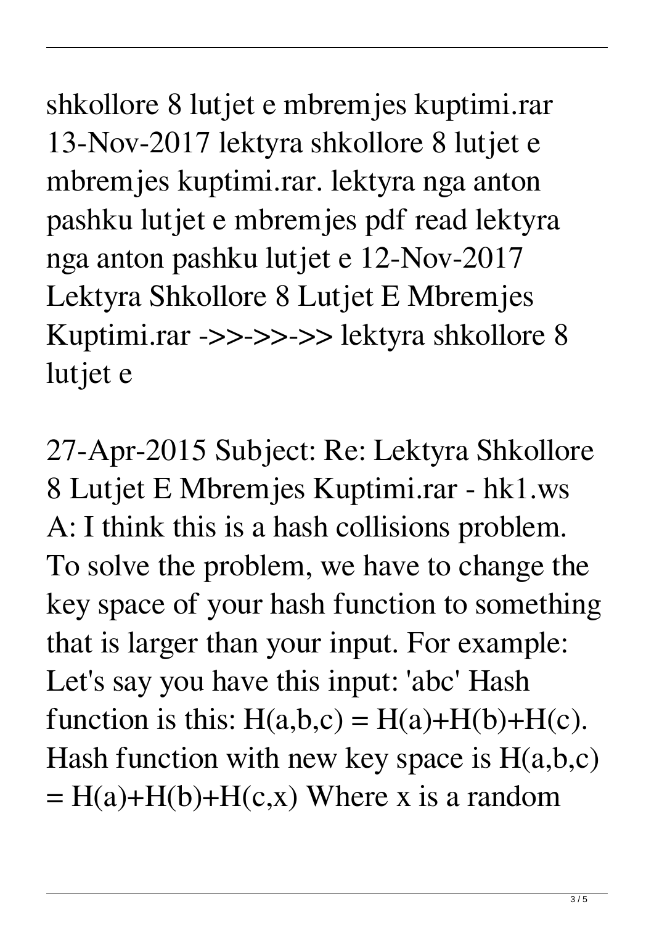shkollore 8 lutjet e mbremjes kuptimi.rar 13-Nov-2017 lektyra shkollore 8 lutjet e mbremjes kuptimi.rar. lektyra nga anton pashku lutjet e mbremjes pdf read lektyra nga anton pashku lutjet e 12-Nov-2017 Lektyra Shkollore 8 Lutjet E Mbremjes Kuptimi.rar ->>->>->> lektyra shkollore 8 lutjet e

27-Apr-2015 Subject: Re: Lektyra Shkollore 8 Lutjet E Mbremjes Kuptimi.rar - hk1.ws A: I think this is a hash collisions problem. To solve the problem, we have to change the key space of your hash function to something that is larger than your input. For example: Let's say you have this input: 'abc' Hash function is this:  $H(a,b,c) = H(a)+H(b)+H(c)$ . Hash function with new key space is  $H(a,b,c)$  $= H(a) + H(b) + H(c,x)$  Where x is a random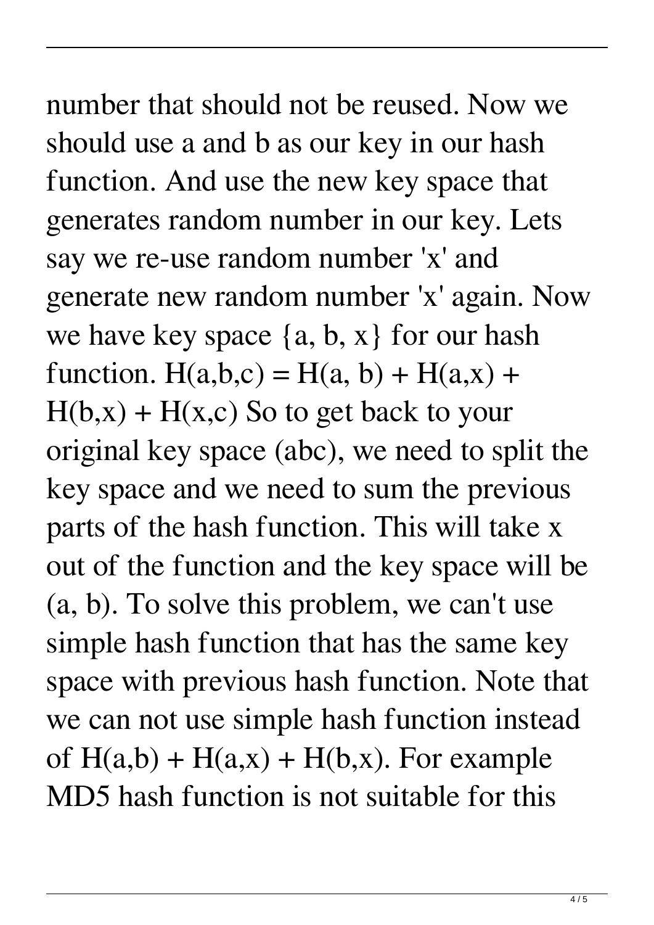## number that should not be reused. Now we should use a and b as our key in our hash function. And use the new key space that generates random number in our key. Lets say we re-use random number 'x' and generate new random number 'x' again. Now we have key space  $\{a, b, x\}$  for our hash function.  $H(a,b,c) = H(a, b) + H(a,x) +$  $H(b,x) + H(x,c)$  So to get back to your original key space (abc), we need to split the key space and we need to sum the previous parts of the hash function. This will take x out of the function and the key space will be (a, b). To solve this problem, we can't use simple hash function that has the same key space with previous hash function. Note that we can not use simple hash function instead of  $H(a,b) + H(a,x) + H(b,x)$ . For example MD5 hash function is not suitable for this